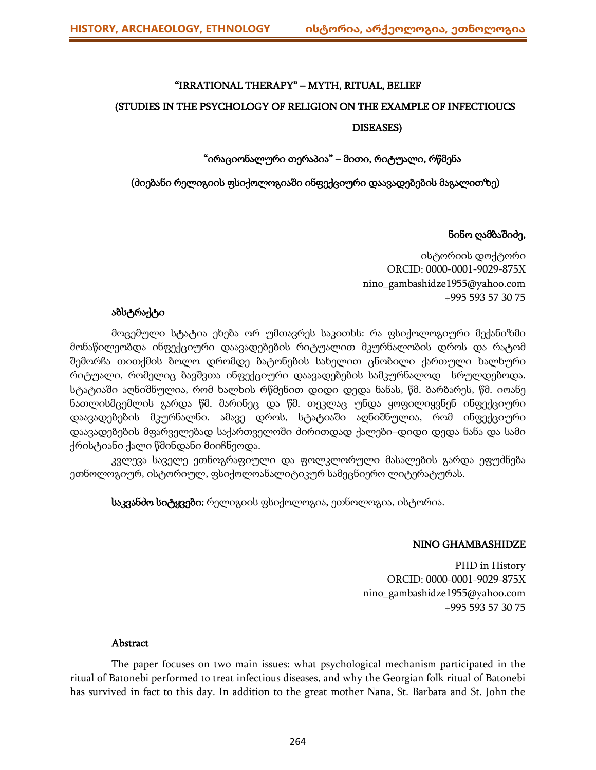# "IRRATIONAL THERAPY" – MYTH, RITUAL, BELIEF (STUDIES IN THE PSYCHOLOGY OF RELIGION ON THE EXAMPLE OF INFECTIOUCS DISEASES)

# "ირაციონალური თერაპია" – მითი, რიტუალი, რწმენა

## (ძიებანი რელიგიის ფსიქოლოგიაში ინფექციური დაავადებების მაგალითზე)

# ნინო ღამბაშიძე,

ისტორიის დოქტორი ORCID: 0000-0001-9029-875X nino\_gambashidze1955@yahoo.com +995 593 57 30 75

# აბსტრაქტი

მოცემული სტატია ეხება ორ უმთავრეს საკითხს: რა ფსიქოლოგიური მექანიზმი მონაწილეობდა ინფექციური დაავადებების რიტუალით მკურნალობის დროს და რატომ შემორჩა თითქმის ბოლო დრომდე ბატონების სახელით ცნობილი ქართული ხალხური რიტუალი, რომელიც ბავშვთა ინფექციური დაავადებების სამკურნალოდ სრულდებოდა. სტატიაში აღნიშნულია, რომ ხალხის რწმენით დიდი დედა ნანას, წმ. ბარბარეს, წმ. იოანე ნათლისმცემლის გარდა წმ. მარინეც და წმ. თეკლაც უნდა ყოფილიყვნენ ინფექციური დაავადებების მკურნალნი. ამავე დროს, სტატიაში აღნიშნულია, რომ ინფექციური დაავადებების მფარველებად საქართველოში ძირითდად ქალები–დიდი დედა ნანა და სამი ქრისტიანი ქალი წმინდანი მიიჩნეოდა.

კვლევა საველე ეთნოგრაფიული და ფოლკლორული მასალების გარდა ეფუძნება ეთნოლოგიურ, ისტორიულ, ფსიქოლოანალიტიკურ სამეცნიერო ლიტერატურას.

საკვანძო სიტყვები: რელიგიის ფსიქოლოგია, ეთნოლოგია, ისტორია.

## NINO GHAMBASHIDZE

PHD in History ORCID: 0000-0001-9029-875X nino\_gambashidze1955@yahoo.com +995 593 57 30 75

## Abstract

The paper focuses on two main issues: what psychological mechanism participated in the ritual of Batonebi performed to treat infectious diseases, and why the Georgian folk ritual of Batonebi has survived in fact to this day. In addition to the great mother Nana, St. Barbara and St. John the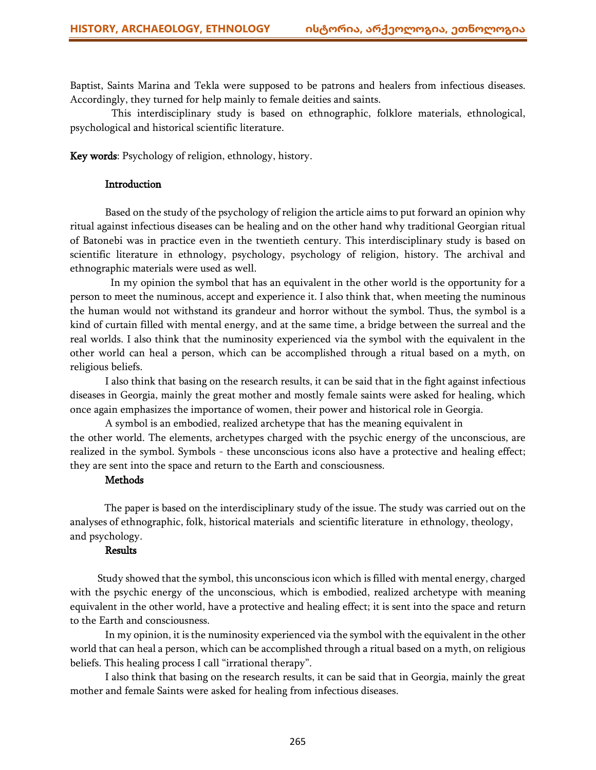Baptist, Saints Marina and Tekla were supposed to be patrons and healers from infectious diseases. Accordingly, they turned for help mainly to female deities and saints.

This interdisciplinary study is based on ethnographic, folklore materials, ethnological, psychological and historical scientific literature.

Key words: Psychology of religion, ethnology, history.

#### **Introduction**

Based on the study of the psychology of religion the article aims to put forward an opinion why ritual against infectious diseases can be healing and on the other hand why traditional Georgian ritual of Batonebi was in practice even in the twentieth century. This interdisciplinary study is based on scientific literature in ethnology, psychology, psychology of religion, history. The archival and ethnographic materials were used as well.

 In my opinion the symbol that has an equivalent in the other world is the opportunity for a person to meet the numinous, accept and experience it. I also think that, when meeting the numinous the human would not withstand its grandeur and horror without the symbol. Thus, the symbol is a kind of curtain filled with mental energy, and at the same time, a bridge between the surreal and the real worlds. I also think that the numinosity experienced via the symbol with the equivalent in the other world can heal a person, which can be accomplished through a ritual based on a myth, on religious beliefs.

I also think that basing on the research results, it can be said that in the fight against infectious diseases in Georgia, mainly the great mother and mostly female saints were asked for healing, which once again emphasizes the importance of women, their power and historical role in Georgia.

A symbol is an embodied, realized archetype that has the meaning equivalent in the other world. The elements, archetypes charged with the psychic energy of the unconscious, are realized in the symbol. Symbols - these unconscious icons also have a protective and healing effect; they are sent into the space and return to the Earth and consciousness.

#### Methods

The paper is based on the interdisciplinary study of the issue. The study was carried out on the analyses of ethnographic, folk, historical materials and scientific literature in ethnology, theology, and psychology.

#### Results

Study showed that the symbol, this unconscious icon which is filled with mental energy, charged with the psychic energy of the unconscious, which is embodied, realized archetype with meaning equivalent in the other world, have a protective and healing effect; it is sent into the space and return to the Earth and consciousness.

In my opinion, it is the numinosity experienced via the symbol with the equivalent in the other world that can heal a person, which can be accomplished through a ritual based on a myth, on religious beliefs. This healing process I call "irrational therapy".

I also think that basing on the research results, it can be said that in Georgia, mainly the great mother and female Saints were asked for healing from infectious diseases.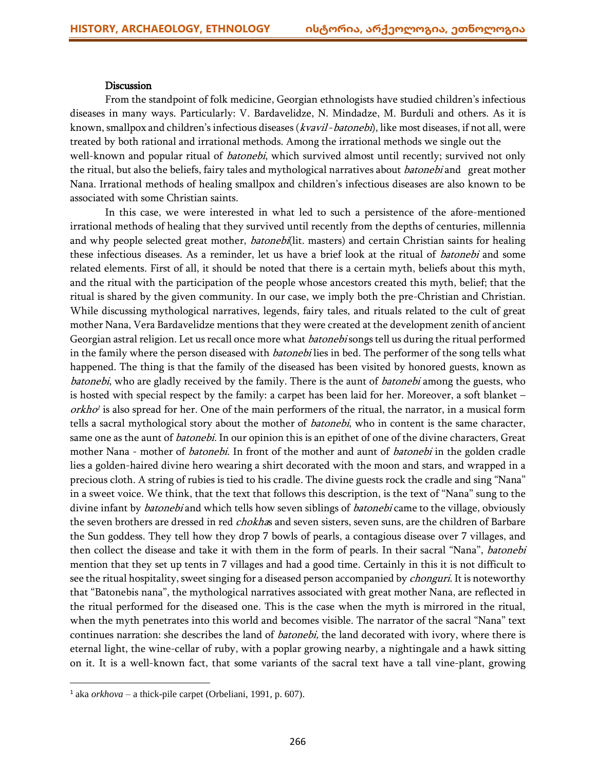#### **Discussion**

From the standpoint of folk medicine, Georgian ethnologists have studied children's infectious diseases in many ways. Particularly: V. Bardavelidze, N. Mindadze, M. Burduli and others. As it is known, smallpox and children's infectious diseases (kvavil-batonebi), like most diseases, if not all, were treated by both rational and irrational methods. Among the irrational methods we single out the well-known and popular ritual of *batonebi*, which survived almost until recently; survived not only the ritual, but also the beliefs, fairy tales and mythological narratives about *batonebi* and great mother Nana. Irrational methods of healing smallpox and children's infectious diseases are also known to be associated with some Christian saints.

In this case, we were interested in what led to such a persistence of the afore-mentioned irrational methods of healing that they survived until recently from the depths of centuries, millennia and why people selected great mother, *batonebi*(lit. masters) and certain Christian saints for healing these infectious diseases. As a reminder, let us have a brief look at the ritual of *batonebi* and some related elements. First of all, it should be noted that there is a certain myth, beliefs about this myth, and the ritual with the participation of the people whose ancestors created this myth, belief; that the ritual is shared by the given community. In our case, we imply both the pre-Christian and Christian. While discussing mythological narratives, legends, fairy tales, and rituals related to the cult of great mother Nana, Vera Bardavelidze mentions that they were created at the development zenith of ancient Georgian astral religion. Let us recall once more what *batonebi* songs tell us during the ritual performed in the family where the person diseased with *batonebi* lies in bed. The performer of the song tells what happened. The thing is that the family of the diseased has been visited by honored guests, known as batonebi, who are gladly received by the family. There is the aunt of *batonebi* among the guests, who is hosted with special respect by the family: a carpet has been laid for her. Moreover, a soft blanket – orkho<sup>1</sup> is also spread for her. One of the main performers of the ritual, the narrator, in a musical form tells a sacral mythological story about the mother of *batonebi*, who in content is the same character, same one as the aunt of *batonebi*. In our opinion this is an epithet of one of the divine characters, Great mother Nana - mother of *batonebi*. In front of the mother and aunt of *batonebi* in the golden cradle lies a golden-haired divine hero wearing a shirt decorated with the moon and stars, and wrapped in a precious cloth. A string of rubies is tied to his cradle. The divine guests rock the cradle and sing "Nana" in a sweet voice. We think, that the text that follows this description, is the text of "Nana" sung to the divine infant by *batonebi* and which tells how seven siblings of *batonebi* came to the village, obviously the seven brothers are dressed in red *chokha*s and seven sisters, seven suns, are the children of Barbare the Sun goddess. They tell how they drop 7 bowls of pearls, a contagious disease over 7 villages, and then collect the disease and take it with them in the form of pearls. In their sacral "Nana", batonebi mention that they set up tents in 7 villages and had a good time. Certainly in this it is not difficult to see the ritual hospitality, sweet singing for a diseased person accompanied by *chonguri*. It is noteworthy that "Batonebis nana", the mythological narratives associated with great mother Nana, are reflected in the ritual performed for the diseased one. This is the case when the myth is mirrored in the ritual, when the myth penetrates into this world and becomes visible. The narrator of the sacral "Nana" text continues narration: she describes the land of *batonebi*, the land decorated with ivory, where there is eternal light, the wine-cellar of ruby, with a poplar growing nearby, a nightingale and a hawk sitting on it. It is a well-known fact, that some variants of the sacral text have a tall vine-plant, growing

 $\overline{\phantom{a}}$ 

<sup>1</sup> aka *orkhova* – a thick-pile carpet (Orbeliani, 1991, p. 607).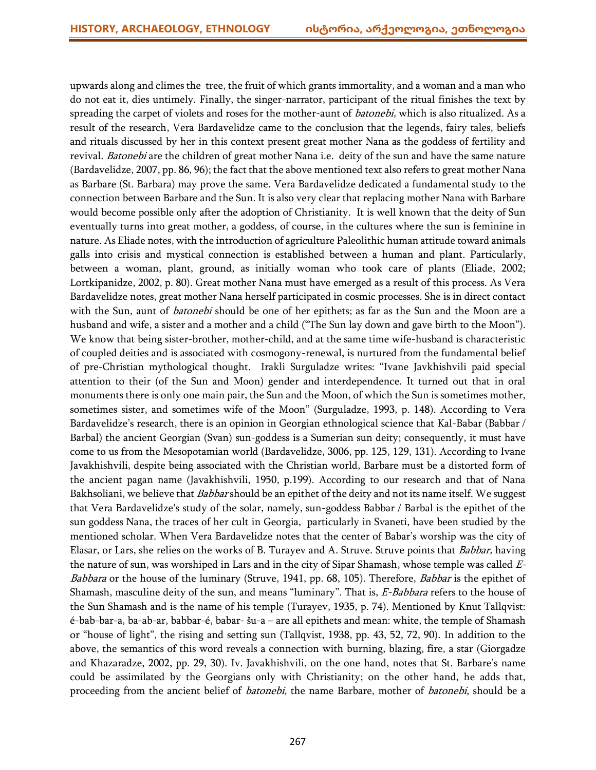upwards along and climes the tree, the fruit of which grants immortality, and a woman and a man who do not eat it, dies untimely. Finally, the singer-narrator, participant of the ritual finishes the text by spreading the carpet of violets and roses for the mother-aunt of *batonebi*, which is also ritualized. As a result of the research, Vera Bardavelidze came to the conclusion that the legends, fairy tales, beliefs and rituals discussed by her in this context present great mother Nana as the goddess of fertility and revival. Batonebi are the children of great mother Nana i.e. deity of the sun and have the same nature (Bardavelidze, 2007, pp. 86, 96); the fact that the above mentioned text also refers to great mother Nana as Barbare (St. Barbara) may prove the same. Vera Bardavelidze dedicated a fundamental study to the connection between Barbare and the Sun. It is also very clear that replacing mother Nana with Barbare would become possible only after the adoption of Christianity. It is well known that the deity of Sun eventually turns into great mother, a goddess, of course, in the cultures where the sun is feminine in nature. As Eliade notes, with the introduction of agriculture Paleolithic human attitude toward animals galls into crisis and mystical connection is established between a human and plant. Particularly, between a woman, plant, ground, as initially woman who took care of plants (Eliade, 2002; Lortkipanidze, 2002, p. 80). Great mother Nana must have emerged as a result of this process. As Vera Bardavelidze notes, great mother Nana herself participated in cosmic processes. She is in direct contact with the Sun, aunt of *batonebi* should be one of her epithets; as far as the Sun and the Moon are a husband and wife, a sister and a mother and a child ("The Sun lay down and gave birth to the Moon"). We know that being sister-brother, mother-child, and at the same time wife-husband is characteristic of coupled deities and is associated with cosmogony-renewal, is nurtured from the fundamental belief of pre-Christian mythological thought. Irakli Surguladze writes: "Ivane Javkhishvili paid special attention to their (of the Sun and Moon) gender and interdependence. It turned out that in oral monuments there is only one main pair, the Sun and the Moon, of which the Sun is sometimes mother, sometimes sister, and sometimes wife of the Moon" (Surguladze, 1993, p. 148). According to Vera Bardavelidze's research, there is an opinion in Georgian ethnological science that Kal-Babar (Babbar / Barbal) the ancient Georgian (Svan) sun-goddess is a Sumerian sun deity; consequently, it must have come to us from the Mesopotamian world (Bardavelidze, 3006, pp. 125, 129, 131). According to Ivane Javakhishvili, despite being associated with the Christian world, Barbare must be a distorted form of the ancient pagan name (Javakhishvili, 1950, p.199). According to our research and that of Nana Bakhsoliani, we believe that *Babbar* should be an epithet of the deity and not its name itself. We suggest that Vera Bardavelidze's study of the solar, namely, sun-goddess Babbar / Barbal is the epithet of the sun goddess Nana, the traces of her cult in Georgia, particularly in Svaneti, have been studied by the mentioned scholar. When Vera Bardavelidze notes that the center of Babar's worship was the city of Elasar, or Lars, she relies on the works of B. Turayev and A. Struve. Struve points that Babbar, having the nature of sun, was worshiped in Lars and in the city of Sipar Shamash, whose temple was called E-Babbara or the house of the luminary (Struve, 1941, pp. 68, 105). Therefore, Babbar is the epithet of Shamash, masculine deity of the sun, and means "luminary". That is, E-Babbara refers to the house of the Sun Shamash and is the name of his temple (Turayev, 1935, p. 74). Mentioned by Knut Tallqvist: é-bab-bar-a, ba-ab-ar, babbar-é, babar- šu-a – are all epithets and mean: white, the temple of Shamash or "house of light", the rising and setting sun (Tallqvist, 1938, pp. 43, 52, 72, 90). In addition to the above, the semantics of this word reveals a connection with burning, blazing, fire, a star (Giorgadze and Khazaradze, 2002, pp. 29, 30). Iv. Javakhishvili, on the one hand, notes that St. Barbare's name could be assimilated by the Georgians only with Christianity; on the other hand, he adds that, proceeding from the ancient belief of *batonebi*, the name Barbare, mother of *batonebi*, should be a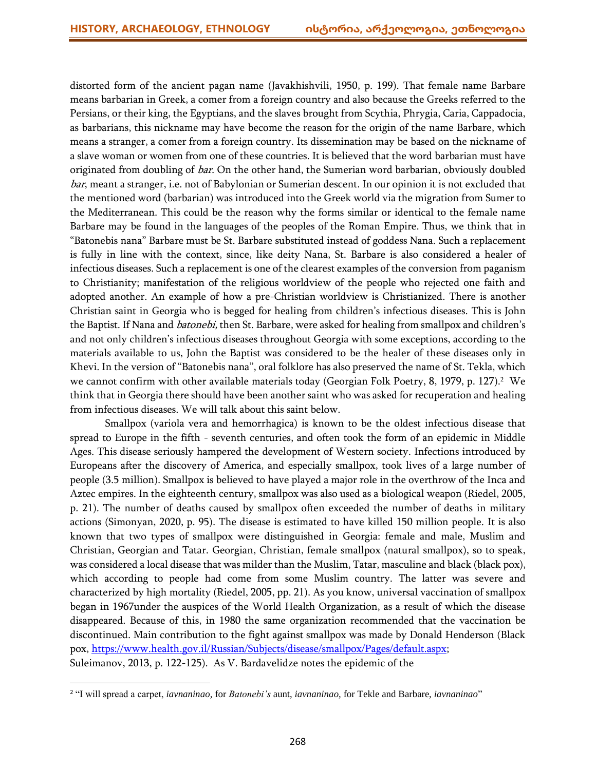distorted form of the ancient pagan name (Javakhishvili, 1950, p. 199). That female name Barbare means barbarian in Greek, a comer from a foreign country and also because the Greeks referred to the Persians, or their king, the Egyptians, and the slaves brought from Scythia, Phrygia, Caria, Cappadocia, as barbarians, this nickname may have become the reason for the origin of the name Barbare, which means a stranger, a comer from a foreign country. Its dissemination may be based on the nickname of a slave woman or women from one of these countries. It is believed that the word barbarian must have originated from doubling of *bar*. On the other hand, the Sumerian word barbarian, obviously doubled bar, meant a stranger, i.e. not of Babylonian or Sumerian descent. In our opinion it is not excluded that the mentioned word (barbarian) was introduced into the Greek world via the migration from Sumer to the Mediterranean. This could be the reason why the forms similar or identical to the female name Barbare may be found in the languages of the peoples of the Roman Empire. Thus, we think that in "Batonebis nana" Barbare must be St. Barbare substituted instead of goddess Nana. Such a replacement is fully in line with the context, since, like deity Nana, St. Barbare is also considered a healer of infectious diseases. Such a replacement is one of the clearest examples of the conversion from paganism to Christianity; manifestation of the religious worldview of the people who rejected one faith and adopted another. An example of how a pre-Christian worldview is Christianized. There is another Christian saint in Georgia who is begged for healing from children's infectious diseases. This is John the Baptist. If Nana and *batonebi*, then St. Barbare, were asked for healing from smallpox and children's and not only children's infectious diseases throughout Georgia with some exceptions, according to the materials available to us, John the Baptist was considered to be the healer of these diseases only in Khevi. In the version of "Batonebis nana", oral folklore has also preserved the name of St. Tekla, which we cannot confirm with other available materials today (Georgian Folk Poetry, 8, 1979, p. 127).<sup>2</sup> We think that in Georgia there should have been another saint who was asked for recuperation and healing from infectious diseases. We will talk about this saint below.

Smallpox (variola vera and hemorrhagica) is known to be the oldest infectious disease that spread to Europe in the fifth - seventh centuries, and often took the form of an epidemic in Middle Ages. This disease seriously hampered the development of Western society. Infections introduced by Europeans after the discovery of America, and especially smallpox, took lives of a large number of people (3.5 million). Smallpox is believed to have played a major role in the overthrow of the Inca and Aztec empires. In the eighteenth century, smallpox was also used as a biological weapon (Riedel, 2005, p. 21). The number of deaths caused by smallpox often exceeded the number of deaths in military actions (Simonyan, 2020, p. 95). The disease is estimated to have killed 150 million people. It is also known that two types of smallpox were distinguished in Georgia: female and male, Muslim and Christian, Georgian and Tatar. Georgian, Christian, female smallpox (natural smallpox), so to speak, was considered a local disease that was milder than the Muslim, Tatar, masculine and black (black pox), which according to people had come from some Muslim country. The latter was severe and characterized by high mortality (Riedel, 2005, pp. 21). As you know, universal vaccination of smallpox began in 1967under the auspices of the World Health Organization, as a result of which the disease disappeared. Because of this, in 1980 the same organization recommended that the vaccination be discontinued. Main contribution to the fight against smallpox was made by Donald Henderson (Black pox, [https://www.health.gov.il/Russian/Subjects/disease/smallpox/Pages/default.aspx;](https://www.health.gov.il/Russian/Subjects/disease/smallpox/Pages/default.aspx) Suleimanov, 2013, p. 122-125). As V. Bardavelidze notes the epidemic of the

 $\overline{\phantom{a}}$ 

<sup>2</sup> "I will spread a carpet, *iavnaninao,* for *Batonebi's* aunt, *iavnaninao,* for Tekle and Barbare, *iavnaninao*"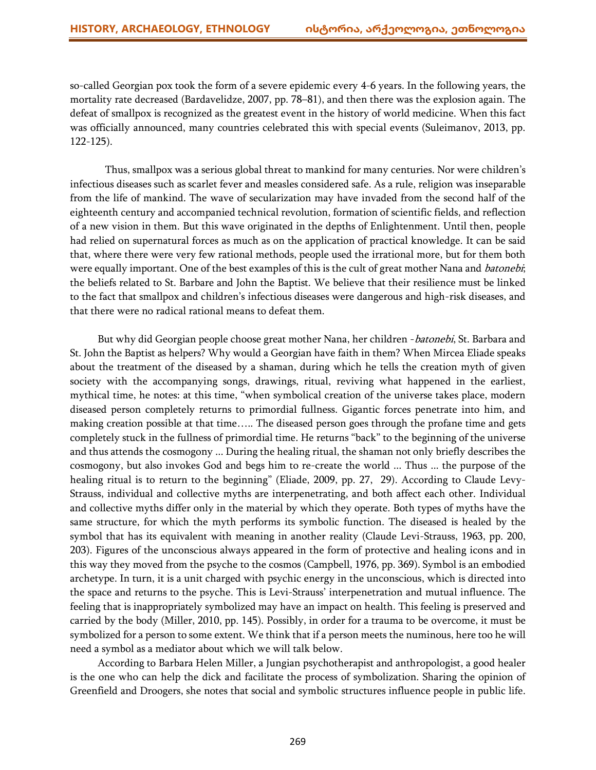so-called Georgian pox took the form of a severe epidemic every 4-6 years. In the following years, the mortality rate decreased (Bardavelidze, 2007, pp. 78–81), and then there was the explosion again. The defeat of smallpox is recognized as the greatest event in the history of world medicine. When this fact was officially announced, many countries celebrated this with special events (Suleimanov, 2013, pp. 122-125).

Thus, smallpox was a serious global threat to mankind for many centuries. Nor were children's infectious diseases such as scarlet fever and measles considered safe. As a rule, religion was inseparable from the life of mankind. The wave of secularization may have invaded from the second half of the eighteenth century and accompanied technical revolution, formation of scientific fields, and reflection of a new vision in them. But this wave originated in the depths of Enlightenment. Until then, people had relied on supernatural forces as much as on the application of practical knowledge. It can be said that, where there were very few rational methods, people used the irrational more, but for them both were equally important. One of the best examples of this is the cult of great mother Nana and *batonebi*; the beliefs related to St. Barbare and John the Baptist. We believe that their resilience must be linked to the fact that smallpox and children's infectious diseases were dangerous and high-risk diseases, and that there were no radical rational means to defeat them.

But why did Georgian people choose great mother Nana, her children - batonebi, St. Barbara and St. John the Baptist as helpers? Why would a Georgian have faith in them? When Mircea Eliade speaks about the treatment of the diseased by a shaman, during which he tells the creation myth of given society with the accompanying songs, drawings, ritual, reviving what happened in the earliest, mythical time, he notes: at this time, "when symbolical creation of the universe takes place, modern diseased person completely returns to primordial fullness. Gigantic forces penetrate into him, and making creation possible at that time….. The diseased person goes through the profane time and gets completely stuck in the fullness of primordial time. He returns "back" to the beginning of the universe and thus attends the cosmogony ... During the healing ritual, the shaman not only briefly describes the cosmogony, but also invokes God and begs him to re-create the world ... Thus ... the purpose of the healing ritual is to return to the beginning" (Eliade, 2009, pp. 27, 29). According to Claude Levy-Strauss, individual and collective myths are interpenetrating, and both affect each other. Individual and collective myths differ only in the material by which they operate. Both types of myths have the same structure, for which the myth performs its symbolic function. The diseased is healed by the symbol that has its equivalent with meaning in another reality (Claude Levi-Strauss, 1963, pp. 200, 203). Figures of the unconscious always appeared in the form of protective and healing icons and in this way they moved from the psyche to the cosmos (Campbell, 1976, pp. 369). Symbol is an embodied archetype. In turn, it is a unit charged with psychic energy in the unconscious, which is directed into the space and returns to the psyche. This is Levi-Strauss' interpenetration and mutual influence. The feeling that is inappropriately symbolized may have an impact on health. This feeling is preserved and carried by the body (Miller, 2010, pp. 145). Possibly, in order for a trauma to be overcome, it must be symbolized for a person to some extent. We think that if a person meets the numinous, here too he will need a symbol as a mediator about which we will talk below.

According to Barbara Helen Miller, a Jungian psychotherapist and anthropologist, a good healer is the one who can help the dick and facilitate the process of symbolization. Sharing the opinion of Greenfield and Droogers, she notes that social and symbolic structures influence people in public life.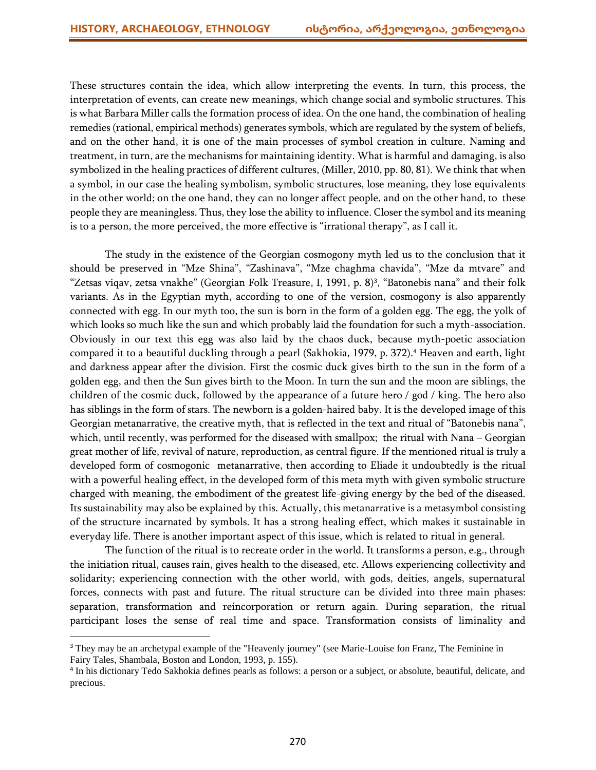$\overline{\phantom{a}}$ 

These structures contain the idea, which allow interpreting the events. In turn, this process, the interpretation of events, can create new meanings, which change social and symbolic structures. This is what Barbara Miller calls the formation process of idea. On the one hand, the combination of healing remedies (rational, empirical methods) generates symbols, which are regulated by the system of beliefs, and on the other hand, it is one of the main processes of symbol creation in culture. Naming and treatment, in turn, are the mechanisms for maintaining identity. What is harmful and damaging, is also symbolized in the healing practices of different cultures, (Miller, 2010, pp. 80, 81). We think that when a symbol, in our case the healing symbolism, symbolic structures, lose meaning, they lose equivalents in the other world; on the one hand, they can no longer affect people, and on the other hand, to these people they are meaningless. Thus, they lose the ability to influence. Closer the symbol and its meaning is to a person, the more perceived, the more effective is "irrational therapy", as I call it.

The study in the existence of the Georgian cosmogony myth led us to the conclusion that it should be preserved in "Mze Shina", "Zashinava", "Mze chaghma chavida", "Mze da mtvare" and "Zetsas viqav, zetsa vnakhe" (Georgian Folk Treasure, I, 1991, p. 8)<sup>3</sup> , "Batonebis nana" and their folk variants. As in the Egyptian myth, according to one of the version, cosmogony is also apparently connected with egg. In our myth too, the sun is born in the form of a golden egg. The egg, the yolk of which looks so much like the sun and which probably laid the foundation for such a myth-association. Obviously in our text this egg was also laid by the chaos duck, because myth-poetic association compared it to a beautiful duckling through a pearl (Sakhokia, 1979, p. 372). <sup>4</sup> Heaven and earth, light and darkness appear after the division. First the cosmic duck gives birth to the sun in the form of a golden egg, and then the Sun gives birth to the Moon. In turn the sun and the moon are siblings, the children of the cosmic duck, followed by the appearance of a future hero / god / king. The hero also has siblings in the form of stars. The newborn is a golden-haired baby. It is the developed image of this Georgian metanarrative, the creative myth, that is reflected in the text and ritual of "Batonebis nana", which, until recently, was performed for the diseased with smallpox; the ritual with Nana – Georgian great mother of life, revival of nature, reproduction, as central figure. If the mentioned ritual is truly a developed form of cosmogonic metanarrative, then according to Eliade it undoubtedly is the ritual with a powerful healing effect, in the developed form of this meta myth with given symbolic structure charged with meaning, the embodiment of the greatest life-giving energy by the bed of the diseased. Its sustainability may also be explained by this. Actually, this metanarrative is a metasymbol consisting of the structure incarnated by symbols. It has a strong healing effect, which makes it sustainable in everyday life. There is another important aspect of this issue, which is related to ritual in general.

The function of the ritual is to recreate order in the world. It transforms a person, e.g., through the initiation ritual, causes rain, gives health to the diseased, etc. Allows experiencing collectivity and solidarity; experiencing connection with the other world, with gods, deities, angels, supernatural forces, connects with past and future. The ritual structure can be divided into three main phases: separation, transformation and reincorporation or return again. During separation, the ritual participant loses the sense of real time and space. Transformation consists of liminality and

<sup>&</sup>lt;sup>3</sup> They may be an archetypal example of the "Heavenly journey" (see Marie-Louise fon Franz, The Feminine in Fairy Tales, Shambala, Boston and London, 1993, p. 155).

<sup>4</sup> In his dictionary Tedo Sakhokia defines pearls as follows: a person or a subject, or absolute, beautiful, delicate, and precious.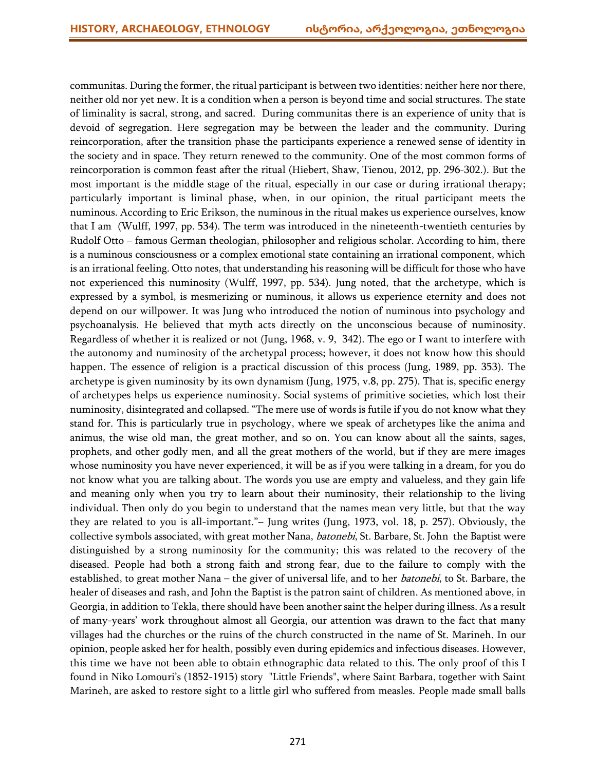communitas. During the former, the ritual participant is between two identities: neither here nor there, neither old nor yet new. It is a condition when a person is beyond time and social structures. The state of liminality is sacral, strong, and sacred. During communitas there is an experience of unity that is devoid of segregation. Here segregation may be between the leader and the community. During reincorporation, after the transition phase the participants experience a renewed sense of identity in the society and in space. They return renewed to the community. One of the most common forms of reincorporation is common feast after the ritual (Hiebert, Shaw, Tienou, 2012, pp. 296-302.). But the most important is the middle stage of the ritual, especially in our case or during irrational therapy; particularly important is liminal phase, when, in our opinion, the ritual participant meets the numinous. According to Eric Erikson, the numinous in the ritual makes us experience ourselves, know that I am (Wulff, 1997, pp. 534). The term was introduced in the nineteenth-twentieth centuries by Rudolf Otto – famous German theologian, philosopher and religious scholar. According to him, there is a numinous consciousness or a complex emotional state containing an irrational component, which is an irrational feeling. Otto notes, that understanding his reasoning will be difficult for those who have not experienced this numinosity (Wulff, 1997, pp. 534). Jung noted, that the archetype, which is expressed by a symbol, is mesmerizing or numinous, it allows us experience eternity and does not depend on our willpower. It was Jung who introduced the notion of numinous into psychology and psychoanalysis. He believed that myth acts directly on the unconscious because of numinosity. Regardless of whether it is realized or not (Jung, 1968, v. 9, 342). The ego or I want to interfere with the autonomy and numinosity of the archetypal process; however, it does not know how this should happen. The essence of religion is a practical discussion of this process (Jung, 1989, pp. 353). The archetype is given numinosity by its own dynamism (Jung, 1975, v.8, pp. 275). That is, specific energy of archetypes helps us experience numinosity. Social systems of primitive societies, which lost their numinosity, disintegrated and collapsed. "The mere use of words is futile if you do not know what they stand for. This is particularly true in psychology, where we speak of archetypes like the anima and animus, the wise old man, the great mother, and so on. You can know about all the saints, sages, prophets, and other godly men, and all the great mothers of the world, but if they are mere images whose numinosity you have never experienced, it will be as if you were talking in a dream, for you do not know what you are talking about. The words you use are empty and valueless, and they gain life and meaning only when you try to learn about their numinosity, their relationship to the living individual. Then only do you begin to understand that the names mean very little, but that the way they are related to you is all-important."– Jung writes (Jung, 1973, vol. 18, p. 257). Obviously, the collective symbols associated, with great mother Nana, *batonebi*, St. Barbare, St. John the Baptist were distinguished by a strong numinosity for the community; this was related to the recovery of the diseased. People had both a strong faith and strong fear, due to the failure to comply with the established, to great mother Nana – the giver of universal life, and to her *batonebi*, to St. Barbare, the healer of diseases and rash, and John the Baptist is the patron saint of children. As mentioned above, in Georgia, in addition to Tekla, there should have been another saint the helper during illness. As a result of many-years' work throughout almost all Georgia, our attention was drawn to the fact that many villages had the churches or the ruins of the church constructed in the name of St. Marineh. In our opinion, people asked her for health, possibly even during epidemics and infectious diseases. However, this time we have not been able to obtain ethnographic data related to this. The only proof of this I found in Niko Lomouri's (1852-1915) story "Little Friends", where Saint Barbara, together with Saint Marineh, are asked to restore sight to a little girl who suffered from measles. People made small balls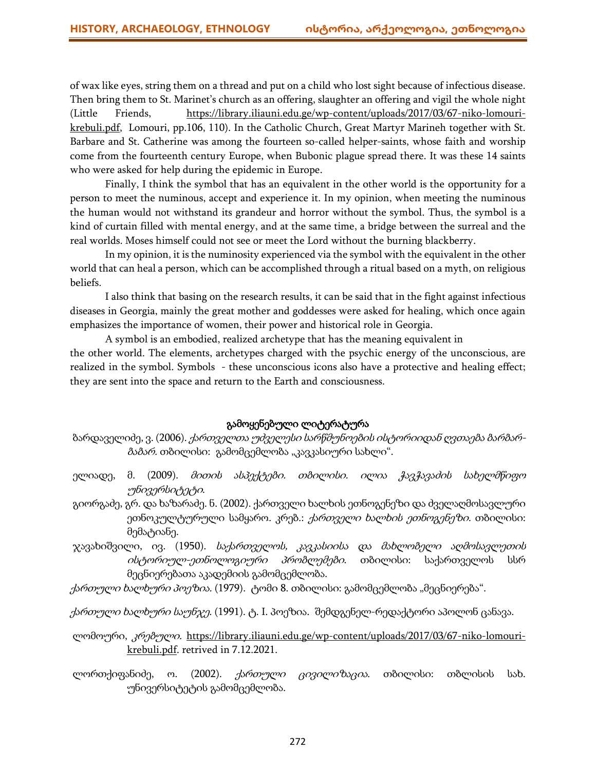of wax like eyes, string them on a thread and put on a child who lost sight because of infectious disease. Then bring them to St. Marinet's church as an offering, slaughter an offering and vigil the whole night (Little Friends, [https://library.iliauni.edu.ge/wp-content/uploads/2017/03/67-niko-lomouri](https://library.iliauni.edu.ge/wp-content/uploads/2017/03/67-niko-lomouri-krebuli.pdf)[krebuli.pdf,](https://library.iliauni.edu.ge/wp-content/uploads/2017/03/67-niko-lomouri-krebuli.pdf) Lomouri, pp.106, 110). In the Catholic Church, Great Martyr Marineh together with St. Barbare and St. Catherine was among the fourteen so-called helper-saints, whose faith and worship come from the fourteenth century Europe, when Bubonic plague spread there. It was these 14 saints who were asked for help during the epidemic in Europe.

Finally, I think the symbol that has an equivalent in the other world is the opportunity for a person to meet the numinous, accept and experience it. In my opinion, when meeting the numinous the human would not withstand its grandeur and horror without the symbol. Thus, the symbol is a kind of curtain filled with mental energy, and at the same time, a bridge between the surreal and the real worlds. Moses himself could not see or meet the Lord without the burning blackberry.

In my opinion, it is the numinosity experienced via the symbol with the equivalent in the other world that can heal a person, which can be accomplished through a ritual based on a myth, on religious beliefs.

I also think that basing on the research results, it can be said that in the fight against infectious diseases in Georgia, mainly the great mother and goddesses were asked for healing, which once again emphasizes the importance of women, their power and historical role in Georgia.

A symbol is an embodied, realized archetype that has the meaning equivalent in the other world. The elements, archetypes charged with the psychic energy of the unconscious, are realized in the symbol. Symbols - these unconscious icons also have a protective and healing effect; they are sent into the space and return to the Earth and consciousness.

## გამოყენებული ლიტერატურა

- ბარდაველიძე, ვ. (2006). ქართველთა უძველესი სარწმუნოების ისტორიიდან ღვთაება ბარბარ*ბაბარ.* თბილისი: გამომცემლობა "კავკასიური სახლი".
- ელიადე, მ. (2009). *მითის ასპექტები. თბილისი. ილია ჭავჭავაძის სახელმწიფო* უნივერსიტეტი.
- გიორგაძე, გრ. და ხაზარაძე. ნ. (2002). ქართველი ხალხის ეთნოგენეზი და ძველაღმოსავლური ეთნოკულტურული სამყარო. კრებ.: *ქართველი ხალხის ეთნოგენეზი.* თბილისი: მემატიანე.
- ჯავახიშვილი, ივ. (1950). *საქართველოს, კავკასიისა და მახლობელი აღმოსავლეთის* ისტორიულ-ეთნოლოგიური პრობლემები. თბილისი: საქართველოს სსრ მეცნიერებათა აკადემიის გამომცემლობა.
- ქ*ართული ხალხური პოეზია.* (1979). <sub>(</sub>ტომი 8. თბილისი: გამომცემლობა "მეცნიერება".

ქ*ართული ხალხური საუნჯე.* (1991). ტ. I. პოეზია. შემდგენელ-რედაქტორი აპოლონ ცანავა.

- ლომოური, კრებული. [https://library.iliauni.edu.ge/wp-content/uploads/2017/03/67-niko-lomouri](https://library.iliauni.edu.ge/wp-content/uploads/2017/03/67-niko-lomouri-krebuli.pdf)[krebuli.pdf.](https://library.iliauni.edu.ge/wp-content/uploads/2017/03/67-niko-lomouri-krebuli.pdf) retrived in 7.12.2021.
- ლორთქიფანიძე, ო. (2002). *ქართული ცივილიზაცია*. თბილისი: თბლისის სახ. უნივერსიტეტის გამომცემლობა.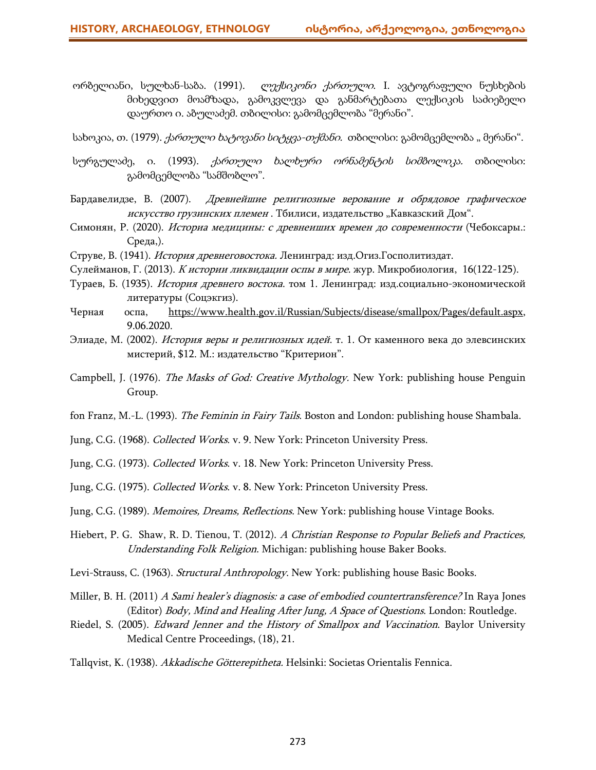ორბელიანი, სულხან-საბა. (1991). *ლექსიკონი ქართული*. I. ავტოგრაფული ნუსხების მიხედვით მოამზადა, გამოკვლევა და განმარტებათა ლექსიკის საძიებელი დაურთო ი. აბულაძემ. თბილისი: გამომცემლობა "მერანი".

სახოკია, თ. (1979). *ქართული ხატოვანი სიტყვა-თქმანი.* თბილისი: გამომცემლობა "მერანი".

- სურგულაძე, ი. (1993). *ქართული ხალხური ორნამენტის სიმბოლიკა.* თბილისი: გამომცემლობა "სამშობლო".
- Бардавелидзе, В. (2007). Древнейшие религиозные верование и обрядовое графическое искусство грузинских племен. Тбилиси, издательство "Кавказский Дом".
- Симонян, Р. (2020). Историа медицины: <sup>с</sup> древнеиших времен до современности (Чебоксары.: Среда,).
- Струве, В. (1941). История древнеговостока. Ленинград: изд.Огиз.Госполитиздат.
- Cулейманов, Г. (2013). <sup>К</sup> истории ликвидации оспы <sup>в</sup> мире. жур. Микробиология, 16(122-125).
- Тураев, Б. (1935). История древнего востока. том 1. Ленинград: изд.социально-экономической литературы (Соцэкгиз).
- Черная оспа, [https://www.health.gov.il/Russian/Subjects/disease/smallpox/Pages/default.aspx,](https://www.health.gov.il/Russian/Subjects/disease/smallpox/Pages/default.aspx) 9.06.2020.
- Элиаде, М. (2002). История веры и религиозных идей. т. 1. От каменного века до элевсинских мистерий, \$12. М.: издательство "Критерион".
- Campbell, J. (1976). *The Masks of God: Creative Mythology.* New York: publishing house Penguin Group.
- fon Franz, M.-L. (1993). The Feminin in Fairy Tails. Boston and London: publishing house Shambala.
- Jung, C.G. (1968). Collected Works. v. 9. New York: Princeton University Press.
- Jung, C.G. (1973). Collected Works. v. 18. New York: Princeton University Press.
- Jung, C.G. (1975). Collected Works. v. 8. New York: Princeton University Press.
- Jung, C.G. (1989). Memoires, Dreams, Reflections. New York: publishing house Vintage Books.
- Hiebert, P. G. Shaw, R. D. Tienou, T. (2012). A Christian Response to Popular Beliefs and Practices, Understanding Folk Religion. Michigan: publishing house Baker Books.
- Levi-Strauss, C. (1963). Structural Anthropology. New York: publishing house Basic Books.
- Miller, B. H. (2011) A Sami healer's diagnosis: a case of embodied countertransference? In Raya Jones (Editor) Body, Mind and Healing After Jung, A Space of Questions. London: Routledge.
- Riedel, S. (2005). *Edward Jenner and the History of Smallpox and Vaccination*. Baylor University Medical Centre Proceedings, (18), 21.
- Tallqvist, K. (1938). Akkadische Götterepitheta. Helsinki: Societas Orientalis Fennica.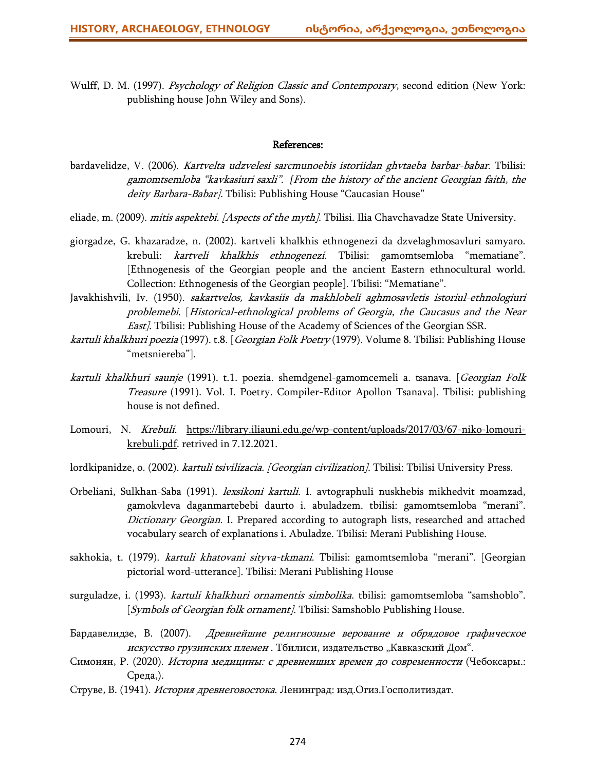Wulff, D. M. (1997). Psychology of Religion Classic and Contemporary, second edition (New York: publishing house John Wiley and Sons).

#### References:

- bardavelidze, V. (2006). Kartvelta udzvelesi sarcmunoebis istoriidan ghvtaeba barbar-babar. Tbilisi: gamomtsemloba "kavkasiuri saxli". *[*From the history of the ancient Georgian faith, the deity Barbara-Babar]. Tbilisi: Publishing House "Caucasian House"
- eliade, m. (2009). *mitis aspektebi. [Aspects of the myth]*. Tbilisi. Ilia Chavchavadze State University.
- giorgadze, G. khazaradze, n. (2002). kartveli khalkhis ethnogenezi da dzvelaghmosavluri samyaro. krebuli: kartveli khalkhis ethnogenezi. Tbilisi: gamomtsemloba "mematiane". [Ethnogenesis of the Georgian people and the ancient Eastern ethnocultural world. Collection: Ethnogenesis of the Georgian people]. Tbilisi: "Mematiane".
- Javakhishvili, Iv. (1950). sakartvelos, kavkasiis da makhlobeli aghmosavletis istoriul-ethnologiuri problemebi. [Historical-ethnological problems of Georgia, the Caucasus and the Near **East**]. Tbilisi: Publishing House of the Academy of Sciences of the Georgian SSR.
- kartuli khalkhuri poezia (1997). t.8. [Georgian Folk Poetry (1979). Volume 8. Tbilisi: Publishing House "metsniereba"].
- kartuli khalkhuri saunje (1991). t.1. poezia. shemdgenel-gamomcemeli a. tsanava. [Georgian Folk Treasure (1991). Vol. I. Poetry. Compiler-Editor Apollon Tsanava]. Tbilisi: publishing house is not defined.
- Lomouri, N. Krebuli. [https://library.iliauni.edu.ge/wp-content/uploads/2017/03/67-niko-lomouri](https://library.iliauni.edu.ge/wp-content/uploads/2017/03/67-niko-lomouri-krebuli.pdf)[krebuli.pdf.](https://library.iliauni.edu.ge/wp-content/uploads/2017/03/67-niko-lomouri-krebuli.pdf) retrived in 7.12.2021.
- lordkipanidze, o. (2002). kartuli tsivilizacia. [Georgian civilization]. Tbilisi: Tbilisi University Press.
- Orbeliani, Sulkhan-Saba (1991). lexsikoni kartuli. I. avtographuli nuskhebis mikhedvit moamzad, gamokvleva daganmartebebi daurto i. abuladzem. tbilisi: gamomtsemloba "merani". Dictionary Georgian. I. Prepared according to autograph lists, researched and attached vocabulary search of explanations i. Abuladze. Tbilisi: Merani Publishing House.
- sakhokia, t. (1979). *kartuli khatovani sityva-tkmani*. Tbilisi: gamomtsemloba "merani". [Georgian pictorial word-utterance]. Tbilisi: Merani Publishing House
- surguladze, i. (1993). *kartuli khalkhuri ornamentis simbolika*. tbilisi: gamomtsemloba "samshoblo". [Symbols of Georgian folk ornament]. Tbilisi: Samshoblo Publishing House.
- Бардавелидзе, В. (2007). Древнейшие религиозные верование и обрядовое графическое искусство грузинских племен. Тбилиси, издательство "Кавказский Дом".
- Симонян, Р. (2020). Историа медицины: <sup>с</sup> древнеиших времен до современности (Чебоксары.: Среда,).
- Струве, В. (1941). История древнеговостока. Ленинград: изд.Огиз.Госполитиздат.